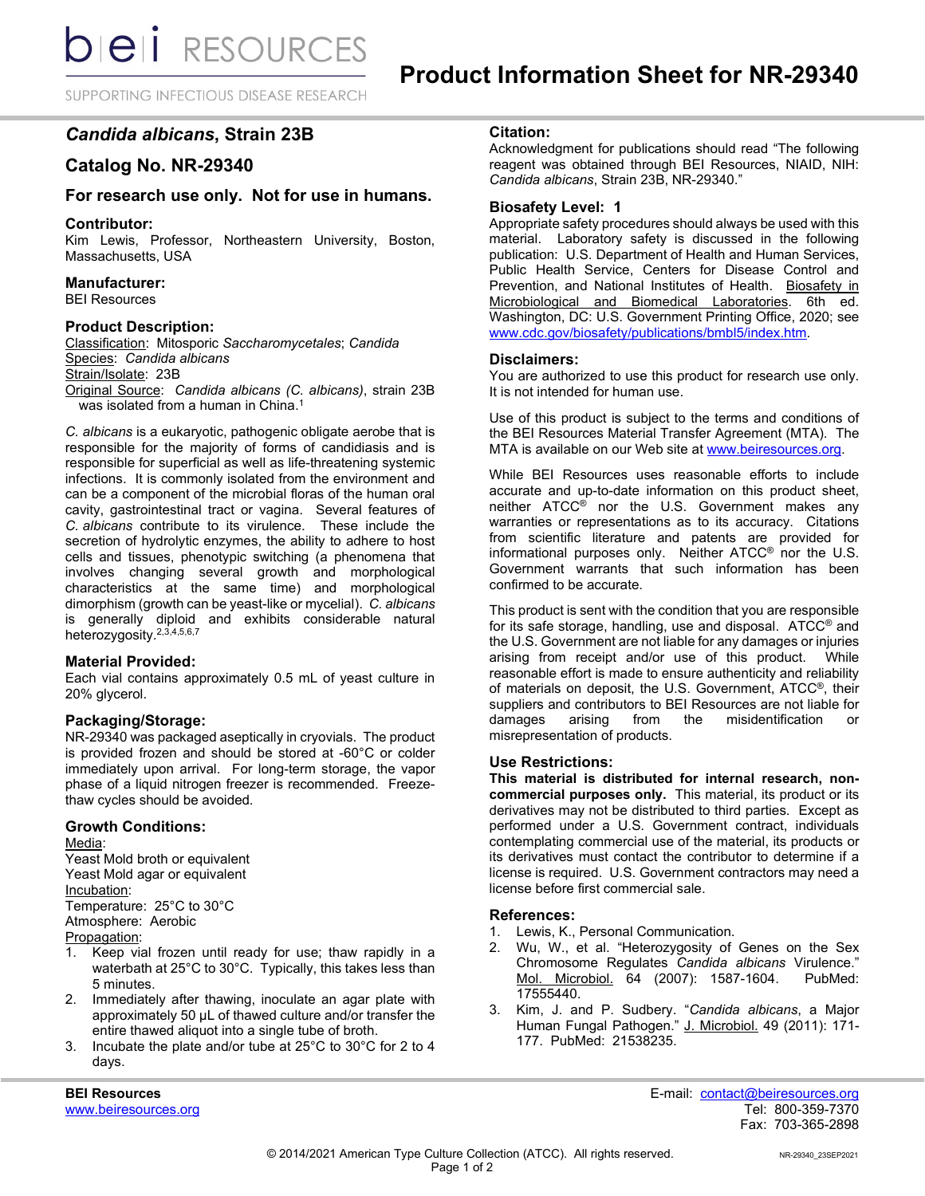**bieli** RESOURCES

SUPPORTING INFECTIOUS DISEASE RESEARCH

# *Candida albicans***, Strain 23B**

# **Catalog No. NR-29340**

# **For research use only. Not for use in humans.**

#### **Contributor:**

Kim Lewis, Professor, Northeastern University, Boston, Massachusetts, USA

## **Manufacturer:**

BEI Resources

#### **Product Description:**

Classification: Mitosporic *Saccharomycetales*; *Candida* Species: *Candida albicans*

Strain/Isolate: 23B

Original Source: *Candida albicans (C. albicans)*, strain 23B was isolated from a human in China.<sup>1</sup>

*C. albicans* is a eukaryotic, pathogenic obligate aerobe that is responsible for the majority of forms of candidiasis and is responsible for superficial as well as life-threatening systemic infections. It is commonly isolated from the environment and can be a component of the microbial floras of the human oral cavity, gastrointestinal tract or vagina. Several features of *C. albicans* contribute to its virulence. These include the secretion of hydrolytic enzymes, the ability to adhere to host cells and tissues, phenotypic switching (a phenomena that involves changing several growth and morphological characteristics at the same time) and morphological dimorphism (growth can be yeast-like or mycelial). *C. albicans* is generally diploid and exhibits considerable natural heterozygosity. 2,3,4,5,6,7

## **Material Provided:**

Each vial contains approximately 0.5 mL of yeast culture in 20% glycerol.

## **Packaging/Storage:**

NR-29340 was packaged aseptically in cryovials. The product is provided frozen and should be stored at -60°C or colder immediately upon arrival. For long-term storage, the vapor phase of a liquid nitrogen freezer is recommended. Freezethaw cycles should be avoided.

## **Growth Conditions:**

Media:

Yeast Mold broth or equivalent Yeast Mold agar or equivalent Incubation: Temperature: 25°C to 30°C Atmosphere: Aerobic Propagation:

- 1. Keep vial frozen until ready for use; thaw rapidly in a waterbath at 25°C to 30°C. Typically, this takes less than 5 minutes.
- 2. Immediately after thawing, inoculate an agar plate with approximately 50 µL of thawed culture and/or transfer the entire thawed aliquot into a single tube of broth.
- 3. Incubate the plate and/or tube at 25°C to 30°C for 2 to 4 days.

# **Citation:**

Acknowledgment for publications should read "The following reagent was obtained through BEI Resources, NIAID, NIH: *Candida albicans*, Strain 23B, NR-29340."

## **Biosafety Level: 1**

Appropriate safety procedures should always be used with this material. Laboratory safety is discussed in the following publication: U.S. Department of Health and Human Services, Public Health Service, Centers for Disease Control and Prevention, and National Institutes of Health. Biosafety in Microbiological and Biomedical Laboratories. 6th ed. Washington, DC: U.S. Government Printing Office, 2020; see [www.cdc.gov/biosafety/publications/bmbl5/index.htm.](http://www.cdc.gov/biosafety/publications/bmbl5/index.htm)

#### **Disclaimers:**

You are authorized to use this product for research use only. It is not intended for human use.

Use of this product is subject to the terms and conditions of the BEI Resources Material Transfer Agreement (MTA). The MTA is available on our Web site at [www.beiresources.org.](http://www.beiresources.org/)

While BEI Resources uses reasonable efforts to include accurate and up-to-date information on this product sheet, neither ATCC® nor the U.S. Government makes any warranties or representations as to its accuracy. Citations from scientific literature and patents are provided for informational purposes only. Neither ATCC® nor the U.S. Government warrants that such information has been confirmed to be accurate.

This product is sent with the condition that you are responsible for its safe storage, handling, use and disposal. ATCC® and the U.S. Government are not liable for any damages or injuries arising from receipt and/or use of this product. While reasonable effort is made to ensure authenticity and reliability of materials on deposit, the U.S. Government, ATCC®, their suppliers and contributors to BEI Resources are not liable for damages arising from the misidentification or misrepresentation of products.

## **Use Restrictions:**

**This material is distributed for internal research, noncommercial purposes only.** This material, its product or its derivatives may not be distributed to third parties. Except as performed under a U.S. Government contract, individuals contemplating commercial use of the material, its products or its derivatives must contact the contributor to determine if a license is required. U.S. Government contractors may need a license before first commercial sale.

## **References:**

- 1. Lewis, K., Personal Communication.
- 2. Wu, W., et al. "Heterozygosity of Genes on the Sex Chromosome Regulates *Candida albicans* Virulence." Mol. Microbiol. 64 (2007): 1587-1604. 17555440.
- 3. Kim, J. and P. Sudbery. "*Candida albicans*, a Major Human Fungal Pathogen." J. Microbiol. 49 (2011): 171- 177. PubMed: 21538235.